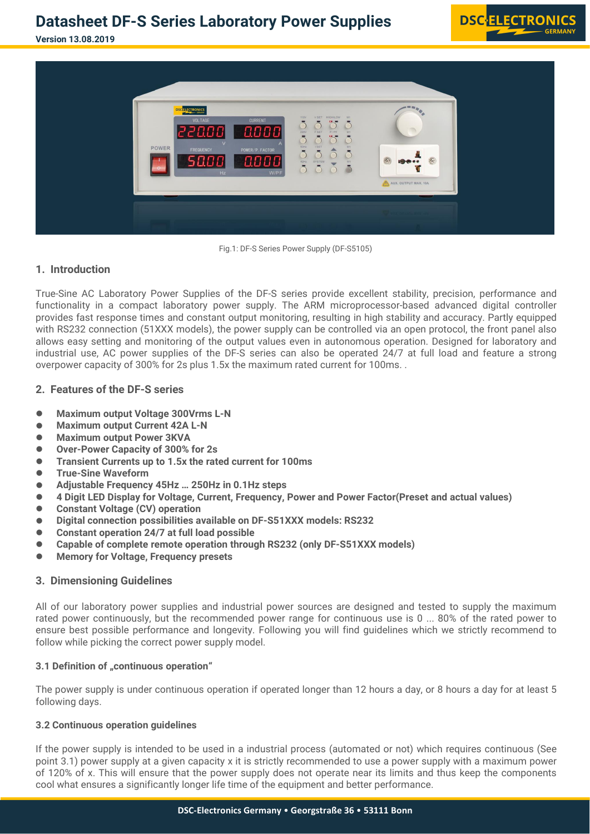**Version 13.08.2019**





Fig.1: DF-S Series Power Supply (DF-S5105)

### **1. Introduction**

True-Sine AC Laboratory Power Supplies of the DF-S series provide excellent stability, precision, performance and functionality in a compact laboratory power supply. The ARM microprocessor-based advanced digital controller provides fast response times and constant output monitoring, resulting in high stability and accuracy. Partly equipped with RS232 connection (51XXX models), the power supply can be controlled via an open protocol, the front panel also allows easy setting and monitoring of the output values even in autonomous operation. Designed for laboratory and industrial use, AC power supplies of the DF-S series can also be operated 24/7 at full load and feature a strong overpower capacity of 300% for 2s plus 1.5x the maximum rated current for 100ms. .

### **2. Features of the DF-S series**

- **Maximum output Voltage 300Vrms L-N**
- **Maximum output Current 42A L-N**
- **Maximum output Power 3KVA**
- **Over-Power Capacity of 300% for 2s**
- **Transient Currents up to 1.5x the rated current for 100ms**
- **True-Sine Waveform**
- **Adjustable Frequency 45Hz … 250Hz in 0.1Hz steps**
- **4 Digit LED Display for Voltage, Current, Frequency, Power and Power Factor(Preset and actual values)**
- **Constant Voltage (CV) operation**
- **Digital connection possibilities available on DF-S51XXX models: RS232**
- **Constant operation 24/7 at full load possible**
- **Capable of complete remote operation through RS232 (only DF-S51XXX models)**
- **Memory for Voltage, Frequency presets**

### **3. Dimensioning Guidelines**

All of our laboratory power supplies and industrial power sources are designed and tested to supply the maximum rated power continuously, but the recommended power range for continuous use is 0 ... 80% of the rated power to ensure best possible performance and longevity. Following you will find guidelines which we strictly recommend to follow while picking the correct power supply model.

### **3.1 Definition of "continuous operation"**

The power supply is under continuous operation if operated longer than 12 hours a day, or 8 hours a day for at least 5 following days.

### **3.2 Continuous operation guidelines**

If the power supply is intended to be used in a industrial process (automated or not) which requires continuous (See point 3.1) power supply at a given capacity x it is strictly recommended to use a power supply with a maximum power of 120% of x. This will ensure that the power supply does not operate near its limits and thus keep the components cool what ensures a significantly longer life time of the equipment and better performance.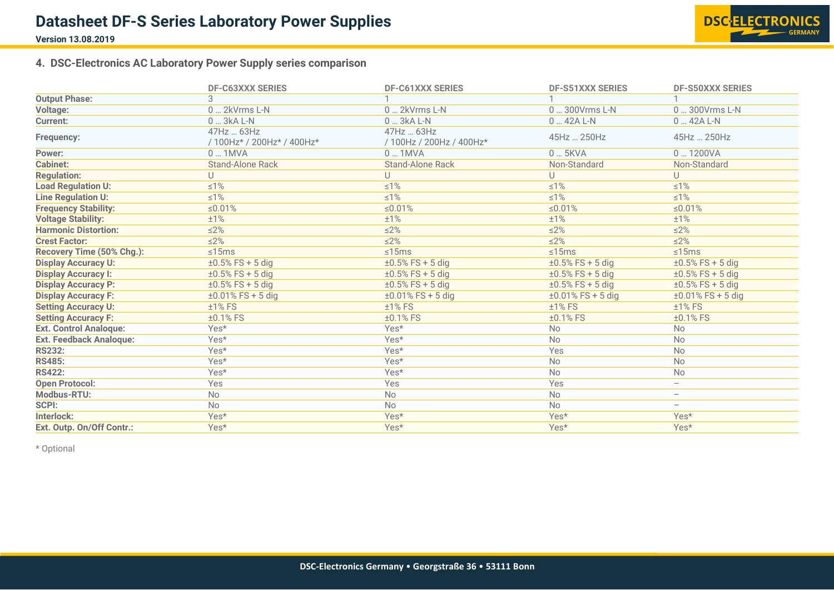

**Version 13.08.2019**

### **4. DSC-Electronics AC Laboratory Power Supply series comparison**

|                                | <b>DF-C63XXX SERIES</b>                 | <b>DF-C61XXX SERIES</b>               | <b>DF-S51XXX SERIES</b> | <b>DF-S50XXX SERIES</b>  |
|--------------------------------|-----------------------------------------|---------------------------------------|-------------------------|--------------------------|
| <b>Output Phase:</b>           | 3                                       |                                       |                         |                          |
| <b>Voltage:</b>                | $0 - 2kV$ rms L-N                       | $0 - 2kV$ rms L-N                     | 0  300Vrms L-N          | 0  300Vrms L-N           |
| <b>Current:</b>                | 0  3kA L-N                              | 0  3kA L-N                            | 0  42A L-N              | $0 - 42A L-N$            |
| Frequency:                     | 47Hz  63Hz<br>/100Hz* / 200Hz* / 400Hz* | 47Hz  63Hz<br>/100Hz / 200Hz / 400Hz* | 45Hz  250Hz             | 45Hz  250Hz              |
| Power:                         | 0  1MVA                                 | $0 - 1$ MVA                           | 0  5KVA                 | 01200VA                  |
| <b>Cabinet:</b>                | <b>Stand-Alone Rack</b>                 | Stand-Alone Rack                      | Non-Standard            | Non-Standard             |
| <b>Regulation:</b>             | U                                       | U                                     | U                       | U                        |
| <b>Load Regulation U:</b>      | $\leq 1\%$                              | $\leq 1\%$                            | $\leq 1\%$              | $\leq 1\%$               |
| <b>Line Regulation U:</b>      | $\leq 1\%$                              | $\leq 1\%$                            | $\leq 1\%$              | $\leq 1\%$               |
| <b>Frequency Stability:</b>    | ≤0.01%                                  | ≤0.01%                                | ≤0.01%                  | ≤0.01%                   |
| <b>Voltage Stability:</b>      | ±1%                                     | ±1%                                   | ±1%                     | ±1%                      |
| <b>Harmonic Distortion:</b>    | $\leq$ 2%                               | $\leq$ 2%                             | $\leq$ 2%               | $\leq$ 2%                |
| <b>Crest Factor:</b>           | $\leq$ 2%                               | $\leq$ 2%                             | $\leq$ 2%               | $\leq$ 2%                |
| Recovery Time (50% Chg.):      | $\leq 15ms$                             | $\leq 15ms$                           | $\leq 15ms$             | $\leq 15ms$              |
| <b>Display Accuracy U:</b>     | $±0.5\%$ FS + 5 dig                     | $±0.5\%$ FS + 5 dig                   | $±0.5\%$ FS + 5 dig     | $±0.5\%$ FS + 5 dig      |
| <b>Display Accuracy I:</b>     | $±0.5\%$ FS + 5 dig                     | $±0.5\%$ FS + 5 dig                   | $±0.5\%$ FS + 5 dig     | $±0.5\%$ FS + 5 dig      |
| <b>Display Accuracy P:</b>     | $±0.5\%$ FS + 5 dig                     | $±0.5\%$ FS + 5 dig                   | $±0.5\%$ FS + 5 dig     | $±0.5\%$ FS + 5 dig      |
| <b>Display Accuracy F:</b>     | $±0.01\%$ FS + 5 dig                    | $±0.01\%$ FS + 5 dig                  | $±0.01\%$ FS + 5 dig    | $±0.01\%$ FS + 5 dig     |
| <b>Setting Accuracy U:</b>     | $±1\%$ FS                               | $±1\%$ FS                             | ±1% FS                  | $±1\%$ FS                |
| <b>Setting Accuracy F:</b>     | ±0.1% FS                                | ±0.1% FS                              | ±0.1% FS                | ±0.1% FS                 |
| <b>Ext. Control Analoque:</b>  | Yes*                                    | Yes*                                  | <b>No</b>               | <b>No</b>                |
| <b>Ext. Feedback Analoque:</b> | Yes*                                    | Yes*                                  | <b>No</b>               | No                       |
| <b>RS232:</b>                  | Yes*                                    | Yes*                                  | Yes                     | No                       |
| <b>RS485:</b>                  | Yes*                                    | Yes*                                  | <b>No</b>               | <b>No</b>                |
| <b>RS422:</b>                  | Yes*                                    | Yes*                                  | <b>No</b>               | No                       |
| <b>Open Protocol:</b>          | Yes                                     | Yes                                   | Yes                     | $\overline{\phantom{0}}$ |
| <b>Modbus-RTU:</b>             | No                                      | No                                    | <b>No</b>               | $\overline{\phantom{a}}$ |
| SCPI:                          | No                                      | No                                    | <b>No</b>               | $\overline{\phantom{0}}$ |
| Interlock:                     | Yes*                                    | Yes*                                  | Yes*                    | Yes*                     |
| Ext. Outp. On/Off Contr.:      | Yes*                                    | Yes*                                  | Yes*                    | Yes*                     |

\* Optional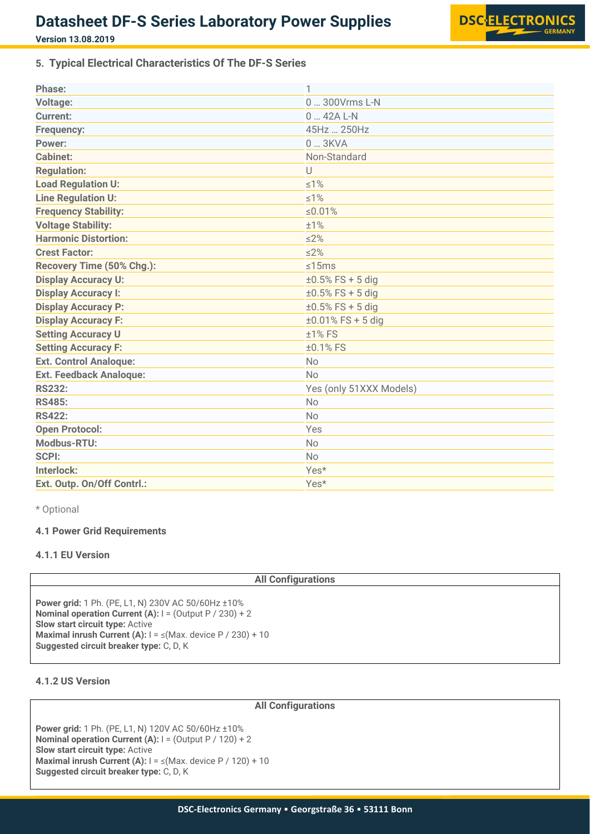**Version 13.08.2019**



### **5. Typical Electrical Characteristics Of The DF-S Series**

| Phase:                         | 1                       |
|--------------------------------|-------------------------|
| <b>Voltage:</b>                | 0  300 Vrms L-N         |
| <b>Current:</b>                | 0  42A L-N              |
| <b>Frequency:</b>              | 45Hz  250Hz             |
| Power:                         | $0 - 3$ KVA             |
| <b>Cabinet:</b>                | Non-Standard            |
| <b>Regulation:</b>             | $\cup$                  |
| <b>Load Regulation U:</b>      | $\leq 1\%$              |
| <b>Line Regulation U:</b>      | $\leq 1\%$              |
| <b>Frequency Stability:</b>    | $\leq 0.01\%$           |
| <b>Voltage Stability:</b>      | ±1%                     |
| <b>Harmonic Distortion:</b>    | $\leq$ 2%               |
| <b>Crest Factor:</b>           | $\leq$ 2%               |
| Recovery Time (50% Chg.):      | $\leq 15ms$             |
| <b>Display Accuracy U:</b>     | $±0.5\%$ FS + 5 dig     |
| <b>Display Accuracy I:</b>     | $±0.5\%$ FS + 5 dig     |
| <b>Display Accuracy P:</b>     | $±0.5\%$ FS + 5 dig     |
| <b>Display Accuracy F:</b>     | $±0.01\%$ FS + 5 dig    |
| <b>Setting Accuracy U</b>      | $±1\%$ FS               |
| <b>Setting Accuracy F:</b>     | ±0.1% FS                |
| <b>Ext. Control Analoque:</b>  | <b>No</b>               |
| <b>Ext. Feedback Analoque:</b> | <b>No</b>               |
| <b>RS232:</b>                  | Yes (only 51XXX Models) |
| <b>RS485:</b>                  | <b>No</b>               |
| <b>RS422:</b>                  | <b>No</b>               |
| <b>Open Protocol:</b>          | Yes                     |
| Modbus-RTU:                    | <b>No</b>               |
| <b>SCPI:</b>                   | <b>No</b>               |
| Interlock:                     | Yes*                    |
| Ext. Outp. On/Off Contrl.:     | Yes*                    |

\* Optional

### **4.1 Power Grid Requirements**

### **4.1.1 EU Version**

### **All Configurations**

**Power grid:** 1 Ph. (PE, L1, N) 230V AC 50/60Hz ±10% **Nominal operation Current (A):** I = (Output P / 230) + 2 **Slow start circuit type:** Active **Maximal inrush Current (A):** I = ≤(Max. device P / 230) + 10 **Suggested circuit breaker type:** C, D, K

### **4.1.2 US Version**

### **All Configurations**

**Power grid:** 1 Ph. (PE, L1, N) 120V AC 50/60Hz ±10% **Nominal operation Current (A):** I = (Output P / 120) + 2 **Slow start circuit type:** Active **Maximal inrush Current (A):** I = ≤(Max. device P / 120) + 10 **Suggested circuit breaker type:** C, D, K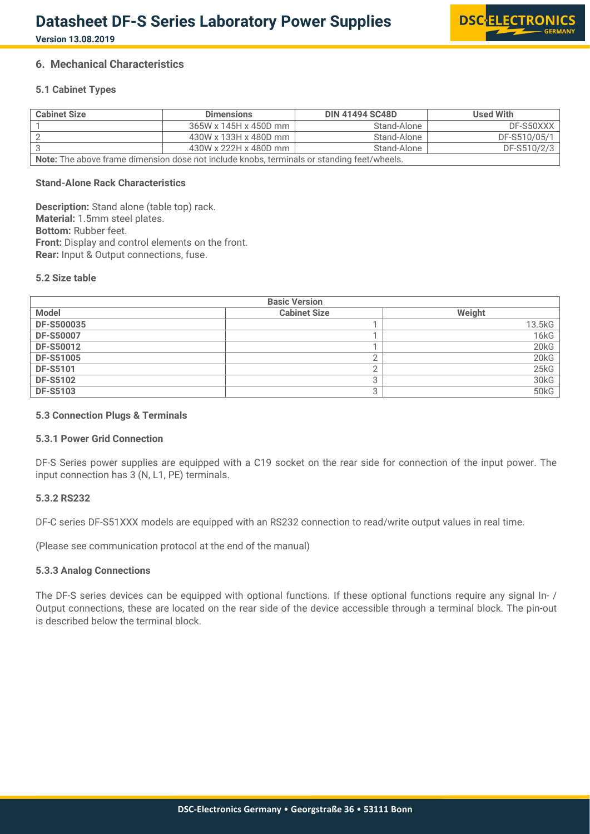

**Version 13.08.2019**

### **6. Mechanical Characteristics**

### **5.1 Cabinet Types**

| <b>Cabinet Size</b> | <b>Dimensions</b>                                                                                 | <b>DIN 41494 SC48D</b> | <b>Used With</b> |
|---------------------|---------------------------------------------------------------------------------------------------|------------------------|------------------|
|                     | 365W x 145H x 450D mm                                                                             | Stand-Alone            | DF-S50XXX        |
|                     | 430W x 133H x 480D mm                                                                             | Stand-Alone            | DF-S510/05/1     |
|                     | 430W x 222H x 480D mm                                                                             | Stand-Alone            | DF-S510/2/3      |
|                     | <b>Note:</b> The above frame dimension dose not include knobs, terminals or standing feet/wheels. |                        |                  |

### **Stand-Alone Rack Characteristics**

**Description:** Stand alone (table top) rack. **Material:** 1.5mm steel plates. **Bottom:** Rubber feet. **Front:** Display and control elements on the front. **Rear:** Input & Output connections, fuse.

#### **5.2 Size table**

| <b>Basic Version</b> |                     |        |  |  |
|----------------------|---------------------|--------|--|--|
| Model                | <b>Cabinet Size</b> | Weight |  |  |
| DF-S500035           |                     | 13.5kG |  |  |
| <b>DF-S50007</b>     |                     | 16kG   |  |  |
| <b>DF-S50012</b>     |                     | 20kG   |  |  |
| <b>DF-S51005</b>     |                     | 20kG   |  |  |
| <b>DF-S5101</b>      |                     | 25kG   |  |  |
| <b>DF-S5102</b>      | ⌒                   | 30kG   |  |  |
| <b>DF-S5103</b>      | ⌒<br>ں              | 50kG   |  |  |

### **5.3 Connection Plugs & Terminals**

### **5.3.1 Power Grid Connection**

DF-S Series power supplies are equipped with a C19 socket on the rear side for connection of the input power. The input connection has 3 (N, L1, PE) terminals.

### **5.3.2 RS232**

DF-C series DF-S51XXX models are equipped with an RS232 connection to read/write output values in real time.

(Please see communication protocol at the end of the manual)

### **5.3.3 Analog Connections**

The DF-S series devices can be equipped with optional functions. If these optional functions require any signal In- / Output connections, these are located on the rear side of the device accessible through a terminal block. The pin-out is described below the terminal block.